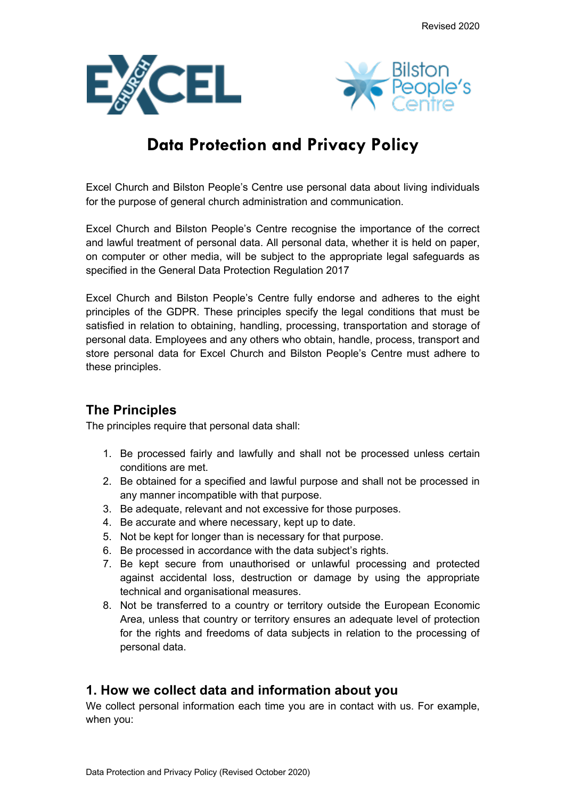



# **Data Protection and Privacy Policy**

Excel Church and Bilston People's Centre use personal data about living individuals for the purpose of general church administration and communication.

Excel Church and Bilston People's Centre recognise the importance of the correct and lawful treatment of personal data. All personal data, whether it is held on paper, on computer or other media, will be subject to the appropriate legal safeguards as specified in the General Data Protection Regulation 2017

Excel Church and Bilston People's Centre fully endorse and adheres to the eight principles of the GDPR. These principles specify the legal conditions that must be satisfied in relation to obtaining, handling, processing, transportation and storage of personal data. Employees and any others who obtain, handle, process, transport and store personal data for Excel Church and Bilston People's Centre must adhere to these principles.

# **The Principles**

The principles require that personal data shall:

- 1. Be processed fairly and lawfully and shall not be processed unless certain conditions are met.
- 2. Be obtained for a specified and lawful purpose and shall not be processed in any manner incompatible with that purpose.
- 3. Be adequate, relevant and not excessive for those purposes.
- 4. Be accurate and where necessary, kept up to date.
- 5. Not be kept for longer than is necessary for that purpose.
- 6. Be processed in accordance with the data subject's rights.
- 7. Be kept secure from unauthorised or unlawful processing and protected against accidental loss, destruction or damage by using the appropriate technical and organisational measures.
- 8. Not be transferred to a country or territory outside the European Economic Area, unless that country or territory ensures an adequate level of protection for the rights and freedoms of data subjects in relation to the processing of personal data.

### **1. How we collect data and information about you**

We collect personal information each time you are in contact with us. For example, when you: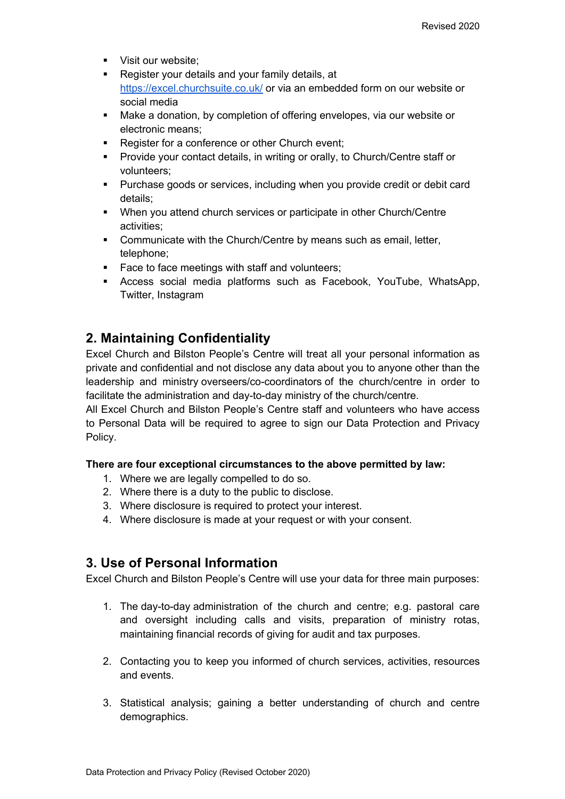- **•** Visit our website:
- **Register your details and your family details, at** https://excel.churchsuite.co.uk/ or via an embedded form on our website or social media
- § Make a donation, by completion of offering envelopes, via our website or electronic means;
- Register for a conference or other Church event:
- § Provide your contact details, in writing or orally, to Church/Centre staff or volunteers;
- § Purchase goods or services, including when you provide credit or debit card details;
- § When you attend church services or participate in other Church/Centre activities;
- Communicate with the Church/Centre by means such as email, letter, telephone;
- Face to face meetings with staff and volunteers;
- § Access social media platforms such as Facebook, YouTube, WhatsApp, Twitter, Instagram

## **2. Maintaining Confidentiality**

Excel Church and Bilston People's Centre will treat all your personal information as private and confidential and not disclose any data about you to anyone other than the leadership and ministry overseers/co-coordinators of the church/centre in order to facilitate the administration and day-to-day ministry of the church/centre.

All Excel Church and Bilston People's Centre staff and volunteers who have access to Personal Data will be required to agree to sign our Data Protection and Privacy Policy.

#### **There are four exceptional circumstances to the above permitted by law:**

- 1. Where we are legally compelled to do so.
- 2. Where there is a duty to the public to disclose.
- 3. Where disclosure is required to protect your interest.
- 4. Where disclosure is made at your request or with your consent.

### **3. Use of Personal Information**

Excel Church and Bilston People's Centre will use your data for three main purposes:

- 1. The day-to-day administration of the church and centre; e.g. pastoral care and oversight including calls and visits, preparation of ministry rotas, maintaining financial records of giving for audit and tax purposes.
- 2. Contacting you to keep you informed of church services, activities, resources and events.
- 3. Statistical analysis; gaining a better understanding of church and centre demographics.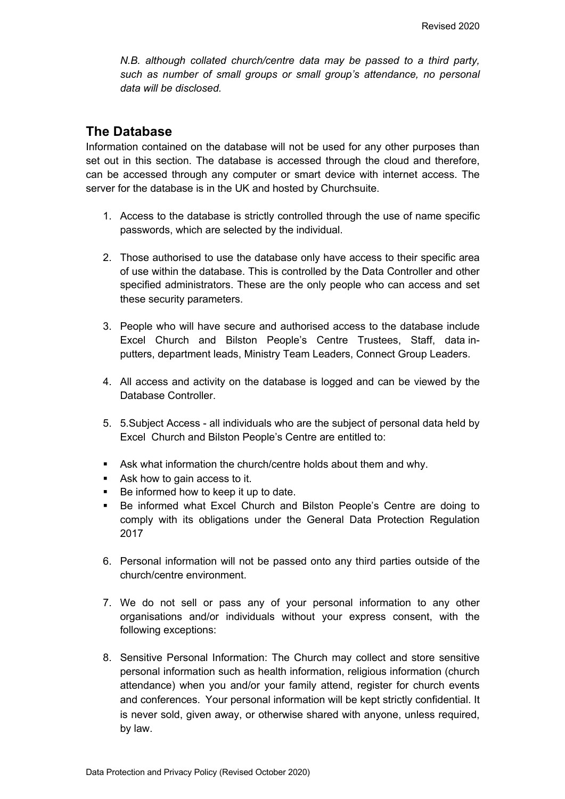*N.B. although collated church/centre data may be passed to a third party, such as number of small groups or small group's attendance, no personal data will be disclosed.*

### **The Database**

Information contained on the database will not be used for any other purposes than set out in this section. The database is accessed through the cloud and therefore, can be accessed through any computer or smart device with internet access. The server for the database is in the UK and hosted by Churchsuite.

- 1. Access to the database is strictly controlled through the use of name specific passwords, which are selected by the individual.
- 2. Those authorised to use the database only have access to their specific area of use within the database. This is controlled by the Data Controller and other specified administrators. These are the only people who can access and set these security parameters.
- 3. People who will have secure and authorised access to the database include Excel Church and Bilston People's Centre Trustees, Staff, data inputters, department leads, Ministry Team Leaders, Connect Group Leaders.
- 4. All access and activity on the database is logged and can be viewed by the Database Controller.
- 5. 5.Subject Access all individuals who are the subject of personal data held by Excel Church and Bilston People's Centre are entitled to:
- **Ask what information the church/centre holds about them and why.**
- Ask how to gain access to it.
- Be informed how to keep it up to date.
- Be informed what Excel Church and Bilston People's Centre are doing to comply with its obligations under the General Data Protection Regulation 2017
- 6. Personal information will not be passed onto any third parties outside of the church/centre environment.
- 7. We do not sell or pass any of your personal information to any other organisations and/or individuals without your express consent, with the following exceptions:
- 8. Sensitive Personal Information: The Church may collect and store sensitive personal information such as health information, religious information (church attendance) when you and/or your family attend, register for church events and conferences. Your personal information will be kept strictly confidential. It is never sold, given away, or otherwise shared with anyone, unless required, by law.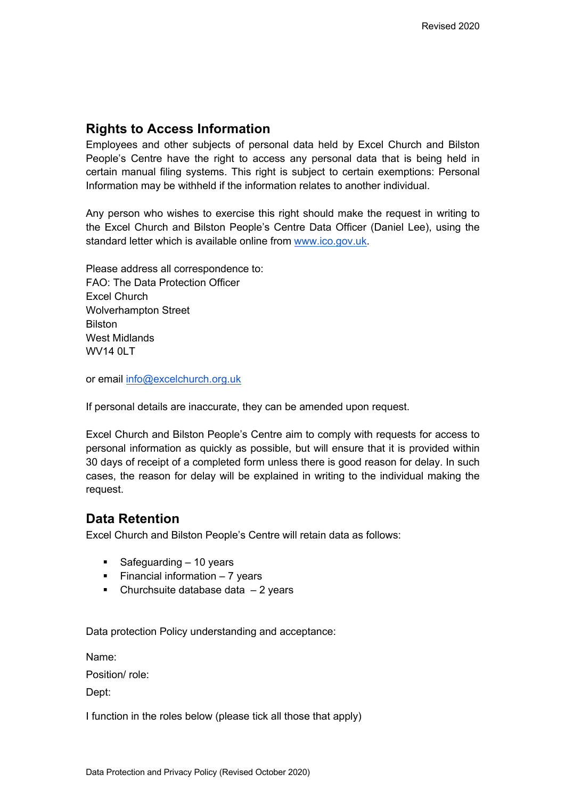### **Rights to Access Information**

Employees and other subjects of personal data held by Excel Church and Bilston People's Centre have the right to access any personal data that is being held in certain manual filing systems. This right is subject to certain exemptions: Personal Information may be withheld if the information relates to another individual.

Any person who wishes to exercise this right should make the request in writing to the Excel Church and Bilston People's Centre Data Officer (Daniel Lee), using the standard letter which is available online from www.ico.gov.uk.

Please address all correspondence to: FAO: The Data Protection Officer Excel Church Wolverhampton Street Bilston West Midlands WV14 0LT

or email info@excelchurch.org.uk

If personal details are inaccurate, they can be amended upon request.

Excel Church and Bilston People's Centre aim to comply with requests for access to personal information as quickly as possible, but will ensure that it is provided within 30 days of receipt of a completed form unless there is good reason for delay. In such cases, the reason for delay will be explained in writing to the individual making the request.

### **Data Retention**

Excel Church and Bilston People's Centre will retain data as follows:

- Safeguarding 10 years
- Financial information 7 years
- Churchsuite database data  $-2$  years

Data protection Policy understanding and acceptance:

Name:

Position/ role:

Dept:

I function in the roles below (please tick all those that apply)